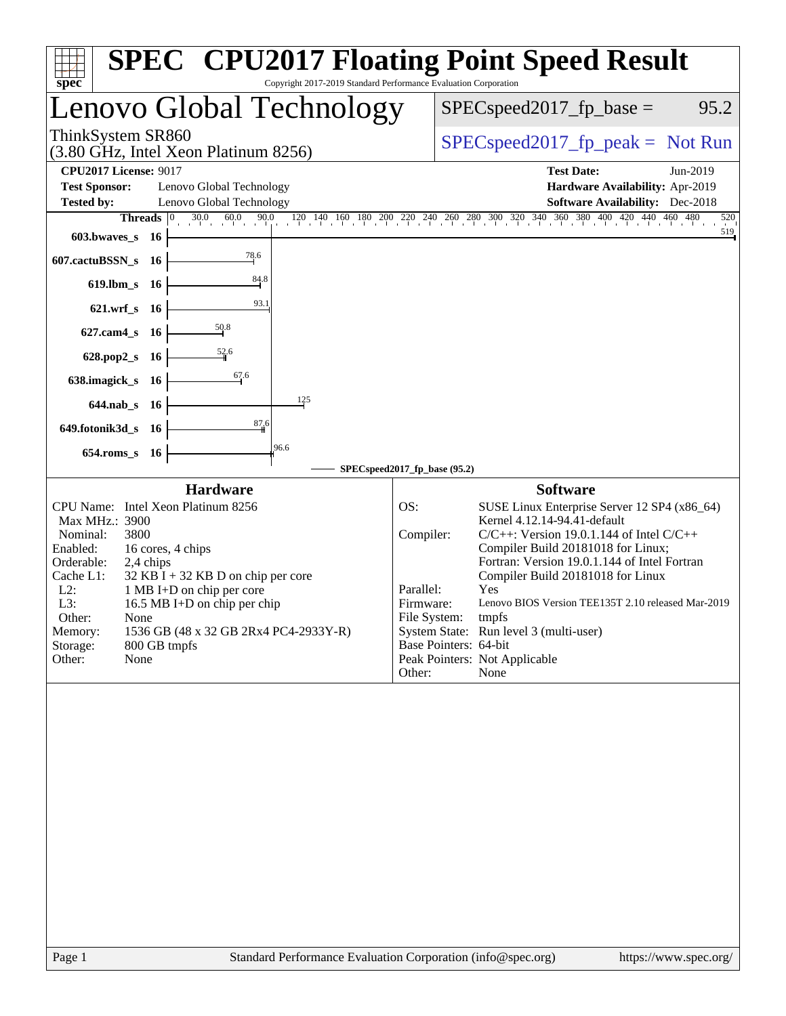| Copyright 2017-2019 Standard Performance Evaluation Corporation<br>spec <sup>®</sup>                                                                                                                                                                                                                                                                                                                           | <b>SPEC<sup>®</sup></b> CPU2017 Floating Point Speed Result                                                                                                                                                                                                                                                                                                                                                                                                                                                                           |
|----------------------------------------------------------------------------------------------------------------------------------------------------------------------------------------------------------------------------------------------------------------------------------------------------------------------------------------------------------------------------------------------------------------|---------------------------------------------------------------------------------------------------------------------------------------------------------------------------------------------------------------------------------------------------------------------------------------------------------------------------------------------------------------------------------------------------------------------------------------------------------------------------------------------------------------------------------------|
| Lenovo Global Technology                                                                                                                                                                                                                                                                                                                                                                                       | $SPEC speed2017_fp\_base =$<br>95.2                                                                                                                                                                                                                                                                                                                                                                                                                                                                                                   |
| ThinkSystem SR860<br>(3.80 GHz, Intel Xeon Platinum 8256)                                                                                                                                                                                                                                                                                                                                                      | $SPEC speed2017_fp\_peak = Not Run$                                                                                                                                                                                                                                                                                                                                                                                                                                                                                                   |
| <b>CPU2017 License: 9017</b>                                                                                                                                                                                                                                                                                                                                                                                   | <b>Test Date:</b><br>Jun-2019                                                                                                                                                                                                                                                                                                                                                                                                                                                                                                         |
| <b>Test Sponsor:</b><br>Lenovo Global Technology                                                                                                                                                                                                                                                                                                                                                               | Hardware Availability: Apr-2019                                                                                                                                                                                                                                                                                                                                                                                                                                                                                                       |
| <b>Tested by:</b><br>Lenovo Global Technology                                                                                                                                                                                                                                                                                                                                                                  | <b>Software Availability:</b> Dec-2018                                                                                                                                                                                                                                                                                                                                                                                                                                                                                                |
| Threads $ 0\rangle$                                                                                                                                                                                                                                                                                                                                                                                            | $30.0$ $60.0$ $90.0$ $120$ $140$ $160$ $180$ $200$ $220$ $240$ $260$ $280$ $300$ $320$ $340$ $360$ $380$ $400$ $420$ $440$ $460$ $480$<br>520                                                                                                                                                                                                                                                                                                                                                                                         |
| $603.bwaves$ 16                                                                                                                                                                                                                                                                                                                                                                                                | 519                                                                                                                                                                                                                                                                                                                                                                                                                                                                                                                                   |
| 78.6<br>607.cactuBSSN_s 16<br>84.8                                                                                                                                                                                                                                                                                                                                                                             |                                                                                                                                                                                                                                                                                                                                                                                                                                                                                                                                       |
| 619.lbm_s 16<br>93.1                                                                                                                                                                                                                                                                                                                                                                                           |                                                                                                                                                                                                                                                                                                                                                                                                                                                                                                                                       |
| 621.wrf_s 16<br>50.8<br>$627$ .cam $4_s$<br>- 16                                                                                                                                                                                                                                                                                                                                                               |                                                                                                                                                                                                                                                                                                                                                                                                                                                                                                                                       |
| $\frac{52.6}{4}$<br>628.pop2_s 16                                                                                                                                                                                                                                                                                                                                                                              |                                                                                                                                                                                                                                                                                                                                                                                                                                                                                                                                       |
| 67.6<br>638.imagick_s<br>- 16                                                                                                                                                                                                                                                                                                                                                                                  |                                                                                                                                                                                                                                                                                                                                                                                                                                                                                                                                       |
| 125<br>644.nab_s 16                                                                                                                                                                                                                                                                                                                                                                                            |                                                                                                                                                                                                                                                                                                                                                                                                                                                                                                                                       |
| 87,6<br>649.fotonik3d_s 16                                                                                                                                                                                                                                                                                                                                                                                     |                                                                                                                                                                                                                                                                                                                                                                                                                                                                                                                                       |
| 96.6<br>654.roms_s 16                                                                                                                                                                                                                                                                                                                                                                                          |                                                                                                                                                                                                                                                                                                                                                                                                                                                                                                                                       |
|                                                                                                                                                                                                                                                                                                                                                                                                                | SPECspeed2017_fp_base (95.2)                                                                                                                                                                                                                                                                                                                                                                                                                                                                                                          |
| <b>Hardware</b><br>CPU Name: Intel Xeon Platinum 8256<br>Max MHz.: 3900<br>3800<br>Nominal:<br>Enabled:<br>16 cores, 4 chips<br>Orderable:<br>2,4 chips<br>Cache L1:<br>$32$ KB I + 32 KB D on chip per core<br>$L2$ :<br>1 MB I+D on chip per core<br>16.5 MB I+D on chip per chip<br>L3:<br>Other:<br>None<br>1536 GB (48 x 32 GB 2Rx4 PC4-2933Y-R)<br>Memory:<br>800 GB tmpfs<br>Storage:<br>Other:<br>None | <b>Software</b><br>OS:<br>SUSE Linux Enterprise Server 12 SP4 (x86_64)<br>Kernel 4.12.14-94.41-default<br>Compiler:<br>$C/C++$ : Version 19.0.1.144 of Intel $C/C++$<br>Compiler Build 20181018 for Linux;<br>Fortran: Version 19.0.1.144 of Intel Fortran<br>Compiler Build 20181018 for Linux<br>Parallel:<br>Yes<br>Lenovo BIOS Version TEE135T 2.10 released Mar-2019<br>Firmware:<br>File System:<br>tmpfs<br>System State: Run level 3 (multi-user)<br>Base Pointers: 64-bit<br>Peak Pointers: Not Applicable<br>Other:<br>None |
| Standard Performance Evaluation Corporation (info@spec.org)<br>Page 1                                                                                                                                                                                                                                                                                                                                          | https://www.spec.org/                                                                                                                                                                                                                                                                                                                                                                                                                                                                                                                 |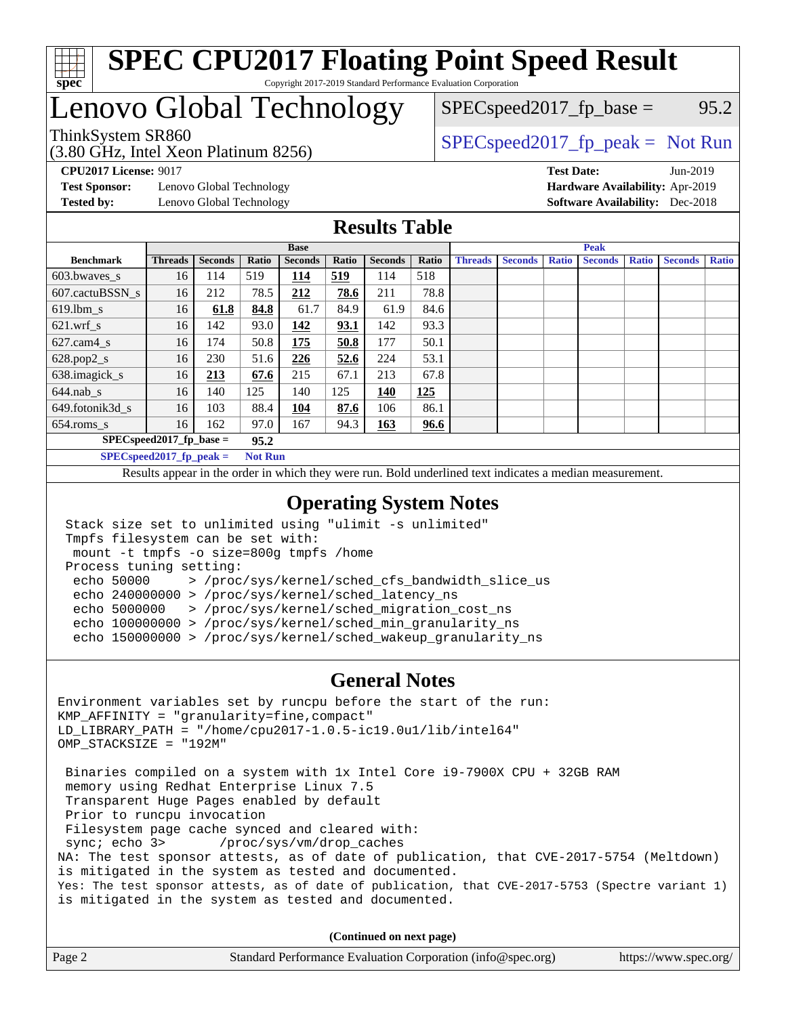

# Lenovo Global Technology

(3.80 GHz, Intel Xeon Platinum 8256)

ThinkSystem SR860<br>  $SPEC speed2017<sub>rfp</sub> peak = Not Run$ 

 $SPEC speed2017_fp\_base = 95.2$ 

**[Test Sponsor:](http://www.spec.org/auto/cpu2017/Docs/result-fields.html#TestSponsor)** Lenovo Global Technology **[Hardware Availability:](http://www.spec.org/auto/cpu2017/Docs/result-fields.html#HardwareAvailability)** Apr-2019 **[Tested by:](http://www.spec.org/auto/cpu2017/Docs/result-fields.html#Testedby)** Lenovo Global Technology **[Software Availability:](http://www.spec.org/auto/cpu2017/Docs/result-fields.html#SoftwareAvailability)** Dec-2018

**[CPU2017 License:](http://www.spec.org/auto/cpu2017/Docs/result-fields.html#CPU2017License)** 9017 **[Test Date:](http://www.spec.org/auto/cpu2017/Docs/result-fields.html#TestDate)** Jun-2019

### **[Results Table](http://www.spec.org/auto/cpu2017/Docs/result-fields.html#ResultsTable)**

|                             | <b>Base</b>    |                |                |                |       |                | <b>Peak</b> |                |                |              |                |              |                |              |
|-----------------------------|----------------|----------------|----------------|----------------|-------|----------------|-------------|----------------|----------------|--------------|----------------|--------------|----------------|--------------|
| <b>Benchmark</b>            | <b>Threads</b> | <b>Seconds</b> | Ratio          | <b>Seconds</b> | Ratio | <b>Seconds</b> | Ratio       | <b>Threads</b> | <b>Seconds</b> | <b>Ratio</b> | <b>Seconds</b> | <b>Ratio</b> | <b>Seconds</b> | <b>Ratio</b> |
| 603.bwayes s                | 16             | 114            | 519            | 114            | 519   | 114            | 518         |                |                |              |                |              |                |              |
| 607.cactuBSSN s             | 16             | 212            | 78.5           | 212            | 78.6  | 211            | 78.8        |                |                |              |                |              |                |              |
| $619.1$ bm s                | 16             | 61.8           | 84.8           | 61.7           | 84.9  | 61.9           | 84.6        |                |                |              |                |              |                |              |
| $621$ .wrf s                | 16             | 142            | 93.0           | 142            | 93.1  | 142            | 93.3        |                |                |              |                |              |                |              |
| $627$ .cam $4$ <sub>s</sub> | 16             | 174            | 50.8           | 175            | 50.8  | 177            | 50.1        |                |                |              |                |              |                |              |
| $628.pop2_s$                | 16             | 230            | 51.6           | 226            | 52.6  | 224            | 53.1        |                |                |              |                |              |                |              |
| 638.imagick_s               | 16             | 213            | 67.6           | 215            | 67.1  | 213            | 67.8        |                |                |              |                |              |                |              |
| $644$ .nab s                | 16             | 140            | 125            | 140            | 125   | 140            | 125         |                |                |              |                |              |                |              |
| 649.fotonik3d s             | 16             | 103            | 88.4           | <u> 104</u>    | 87.6  | 106            | 86.1        |                |                |              |                |              |                |              |
| $654$ .roms s               | 16             | 162            | 97.0           | 167            | 94.3  | <b>163</b>     | 96.6        |                |                |              |                |              |                |              |
| $SPEC speed2017$ fp base =  |                |                | 95.2           |                |       |                |             |                |                |              |                |              |                |              |
| $SPECspeed2017_fp\_peak =$  |                |                | <b>Not Run</b> |                |       |                |             |                |                |              |                |              |                |              |

Results appear in the [order in which they were run.](http://www.spec.org/auto/cpu2017/Docs/result-fields.html#RunOrder) Bold underlined text [indicates a median measurement](http://www.spec.org/auto/cpu2017/Docs/result-fields.html#Median).

### **[Operating System Notes](http://www.spec.org/auto/cpu2017/Docs/result-fields.html#OperatingSystemNotes)**

```
 Stack size set to unlimited using "ulimit -s unlimited"
Tmpfs filesystem can be set with:
mount -t tmpfs -o size=800g tmpfs /home
Process tuning setting:
 echo 50000 > /proc/sys/kernel/sched_cfs_bandwidth_slice_us
 echo 240000000 > /proc/sys/kernel/sched_latency_ns
 echo 5000000 > /proc/sys/kernel/sched_migration_cost_ns
 echo 100000000 > /proc/sys/kernel/sched_min_granularity_ns
 echo 150000000 > /proc/sys/kernel/sched_wakeup_granularity_ns
```
#### **[General Notes](http://www.spec.org/auto/cpu2017/Docs/result-fields.html#GeneralNotes)**

Environment variables set by runcpu before the start of the run: KMP\_AFFINITY = "granularity=fine,compact" LD\_LIBRARY\_PATH = "/home/cpu2017-1.0.5-ic19.0u1/lib/intel64" OMP\_STACKSIZE = "192M" Binaries compiled on a system with 1x Intel Core i9-7900X CPU + 32GB RAM memory using Redhat Enterprise Linux 7.5 Transparent Huge Pages enabled by default Prior to runcpu invocation Filesystem page cache synced and cleared with: sync; echo 3> /proc/sys/vm/drop\_caches NA: The test sponsor attests, as of date of publication, that CVE-2017-5754 (Meltdown) is mitigated in the system as tested and documented. Yes: The test sponsor attests, as of date of publication, that CVE-2017-5753 (Spectre variant 1) is mitigated in the system as tested and documented.

**(Continued on next page)**

| Page 2 | Standard Performance Evaluation Corporation (info@spec.org) | https://www.spec.org/ |
|--------|-------------------------------------------------------------|-----------------------|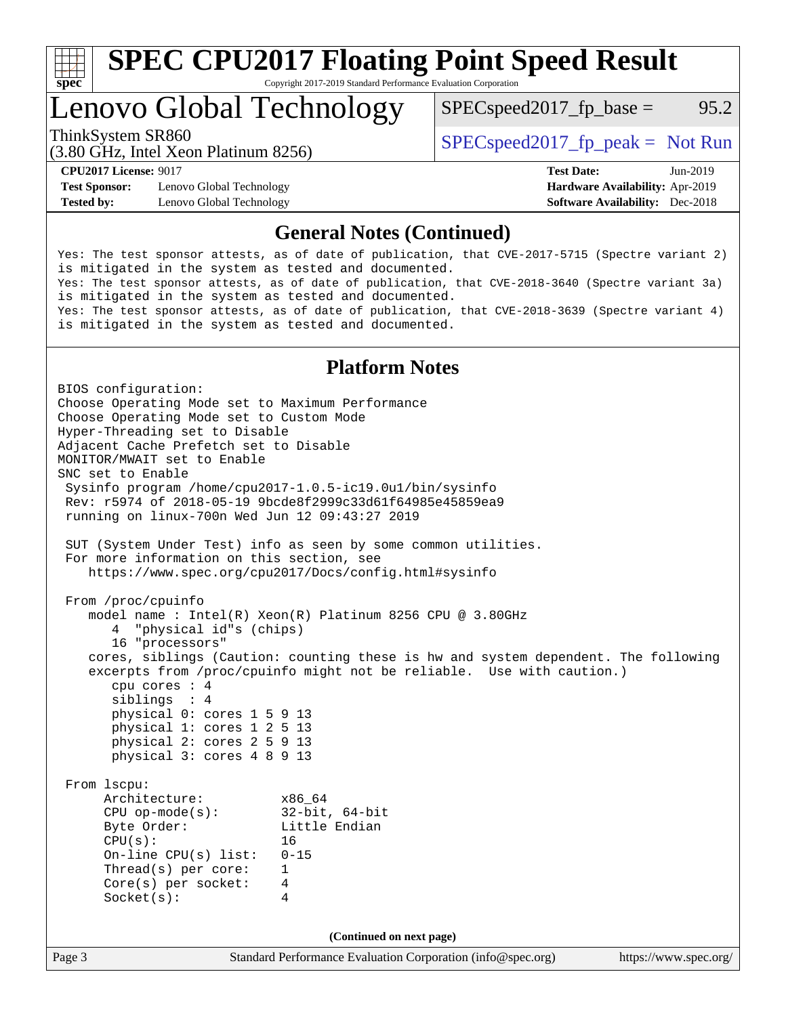

# Lenovo Global Technology

ThinkSystem SR860<br>  $SPEC speed2017<sub>fp</sub> peak = Not Run$  $SPEC speed2017_fp\_base = 95.2$ 

(3.80 GHz, Intel Xeon Platinum 8256)

**[Test Sponsor:](http://www.spec.org/auto/cpu2017/Docs/result-fields.html#TestSponsor)** Lenovo Global Technology **[Hardware Availability:](http://www.spec.org/auto/cpu2017/Docs/result-fields.html#HardwareAvailability)** Apr-2019 **[Tested by:](http://www.spec.org/auto/cpu2017/Docs/result-fields.html#Testedby)** Lenovo Global Technology **[Software Availability:](http://www.spec.org/auto/cpu2017/Docs/result-fields.html#SoftwareAvailability)** Dec-2018

**[CPU2017 License:](http://www.spec.org/auto/cpu2017/Docs/result-fields.html#CPU2017License)** 9017 **[Test Date:](http://www.spec.org/auto/cpu2017/Docs/result-fields.html#TestDate)** Jun-2019

### **[General Notes \(Continued\)](http://www.spec.org/auto/cpu2017/Docs/result-fields.html#GeneralNotes)**

Yes: The test sponsor attests, as of date of publication, that CVE-2017-5715 (Spectre variant 2) is mitigated in the system as tested and documented. Yes: The test sponsor attests, as of date of publication, that CVE-2018-3640 (Spectre variant 3a) is mitigated in the system as tested and documented. Yes: The test sponsor attests, as of date of publication, that CVE-2018-3639 (Spectre variant 4) is mitigated in the system as tested and documented.

# **[Platform Notes](http://www.spec.org/auto/cpu2017/Docs/result-fields.html#PlatformNotes)**

Page 3 Standard Performance Evaluation Corporation [\(info@spec.org\)](mailto:info@spec.org) <https://www.spec.org/> BIOS configuration: Choose Operating Mode set to Maximum Performance Choose Operating Mode set to Custom Mode Hyper-Threading set to Disable Adjacent Cache Prefetch set to Disable MONITOR/MWAIT set to Enable SNC set to Enable Sysinfo program /home/cpu2017-1.0.5-ic19.0u1/bin/sysinfo Rev: r5974 of 2018-05-19 9bcde8f2999c33d61f64985e45859ea9 running on linux-700n Wed Jun 12 09:43:27 2019 SUT (System Under Test) info as seen by some common utilities. For more information on this section, see <https://www.spec.org/cpu2017/Docs/config.html#sysinfo> From /proc/cpuinfo model name : Intel(R) Xeon(R) Platinum 8256 CPU @ 3.80GHz 4 "physical id"s (chips) 16 "processors" cores, siblings (Caution: counting these is hw and system dependent. The following excerpts from /proc/cpuinfo might not be reliable. Use with caution.) cpu cores : 4 siblings : 4 physical 0: cores 1 5 9 13 physical 1: cores 1 2 5 13 physical 2: cores 2 5 9 13 physical 3: cores 4 8 9 13 From lscpu: Architecture: x86\_64 CPU op-mode(s): 32-bit, 64-bit Byte Order: Little Endian  $CPU(s):$  16 On-line CPU(s) list: 0-15 Thread(s) per core: 1 Core(s) per socket: 4 Socket(s): 4 **(Continued on next page)**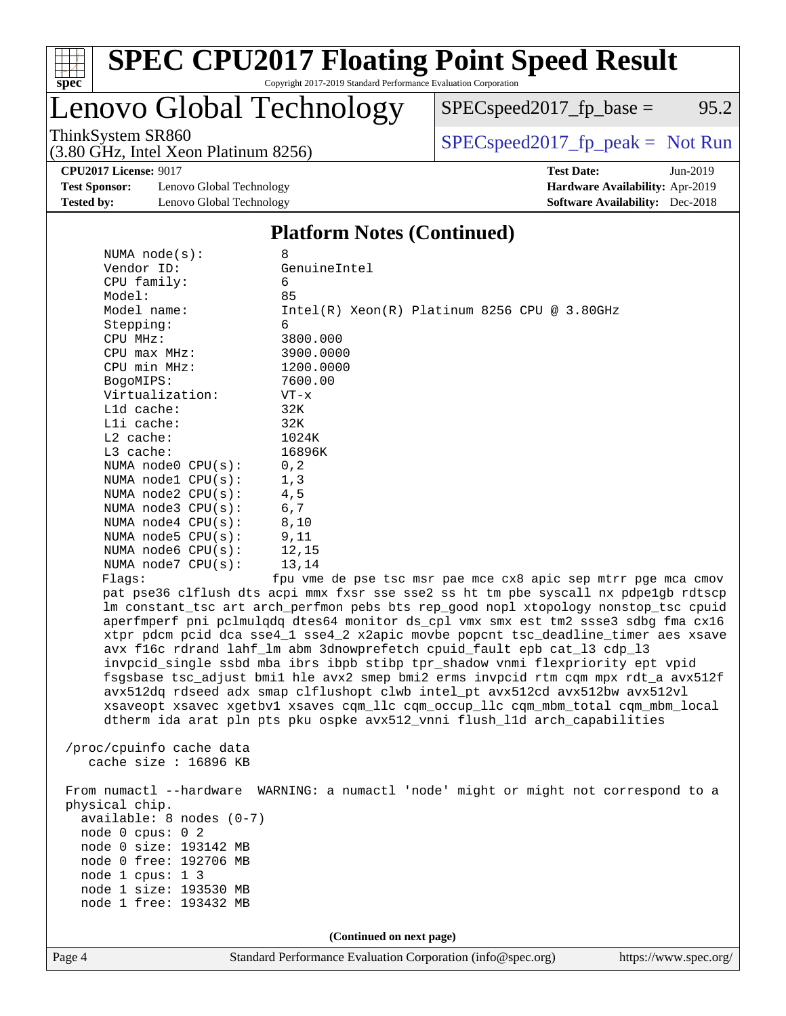

# **[SPEC CPU2017 Floating Point Speed Result](http://www.spec.org/auto/cpu2017/Docs/result-fields.html#SPECCPU2017FloatingPointSpeedResult)**

Copyright 2017-2019 Standard Performance Evaluation Corporation

# Lenovo Global Technology

(3.80 GHz, Intel Xeon Platinum 8256)

ThinkSystem SR860<br>  $(3.80 \text{ GHz, Intel Yoon Plitium } 8256)$  [SPECspeed2017\\_fp\\_peak =](http://www.spec.org/auto/cpu2017/Docs/result-fields.html#SPECspeed2017fppeak) Not Run

 $SPECspeed2017_fp\_base = 95.2$ 

**[CPU2017 License:](http://www.spec.org/auto/cpu2017/Docs/result-fields.html#CPU2017License)** 9017 **[Test Date:](http://www.spec.org/auto/cpu2017/Docs/result-fields.html#TestDate)** Jun-2019

**[Test Sponsor:](http://www.spec.org/auto/cpu2017/Docs/result-fields.html#TestSponsor)** Lenovo Global Technology **[Hardware Availability:](http://www.spec.org/auto/cpu2017/Docs/result-fields.html#HardwareAvailability)** Apr-2019 **[Tested by:](http://www.spec.org/auto/cpu2017/Docs/result-fields.html#Testedby)** Lenovo Global Technology **[Software Availability:](http://www.spec.org/auto/cpu2017/Docs/result-fields.html#SoftwareAvailability)** Dec-2018

#### **[Platform Notes \(Continued\)](http://www.spec.org/auto/cpu2017/Docs/result-fields.html#PlatformNotes)**

| Page 4         |                                                                                                                                                                                                                                                                                                                                                                                                                                           | Standard Performance Evaluation Corporation (info@spec.org)                                                                                                                                                                                                                                                                                                                                                                                                                                                                                                                                                                                                                                                                                                                                                                                                                                                                                                                                                                                                                                                                                                             | https://www.spec.org/ |
|----------------|-------------------------------------------------------------------------------------------------------------------------------------------------------------------------------------------------------------------------------------------------------------------------------------------------------------------------------------------------------------------------------------------------------------------------------------------|-------------------------------------------------------------------------------------------------------------------------------------------------------------------------------------------------------------------------------------------------------------------------------------------------------------------------------------------------------------------------------------------------------------------------------------------------------------------------------------------------------------------------------------------------------------------------------------------------------------------------------------------------------------------------------------------------------------------------------------------------------------------------------------------------------------------------------------------------------------------------------------------------------------------------------------------------------------------------------------------------------------------------------------------------------------------------------------------------------------------------------------------------------------------------|-----------------------|
|                |                                                                                                                                                                                                                                                                                                                                                                                                                                           | (Continued on next page)                                                                                                                                                                                                                                                                                                                                                                                                                                                                                                                                                                                                                                                                                                                                                                                                                                                                                                                                                                                                                                                                                                                                                |                       |
| physical chip. | $available: 8 nodes (0-7)$<br>node 0 cpus: 0 2<br>node 0 size: 193142 MB<br>node 0 free: 192706 MB<br>node 1 cpus: 1 3<br>node 1 size: 193530 MB<br>node 1 free: 193432 MB                                                                                                                                                                                                                                                                | From numactl --hardware WARNING: a numactl 'node' might or might not correspond to a                                                                                                                                                                                                                                                                                                                                                                                                                                                                                                                                                                                                                                                                                                                                                                                                                                                                                                                                                                                                                                                                                    |                       |
|                | cache size : 16896 KB                                                                                                                                                                                                                                                                                                                                                                                                                     |                                                                                                                                                                                                                                                                                                                                                                                                                                                                                                                                                                                                                                                                                                                                                                                                                                                                                                                                                                                                                                                                                                                                                                         |                       |
| Flagg:         | Vendor ID:<br>CPU family:<br>Model:<br>Model name:<br>Stepping:<br>CPU MHz:<br>$CPU$ $max$ $MHz$ :<br>CPU min MHz:<br>BogoMIPS:<br>Virtualization:<br>L1d cache:<br>Lli cache:<br>$L2$ cache:<br>L3 cache:<br>NUMA node0 CPU(s):<br>NUMA nodel CPU(s):<br>NUMA $node2$ $CPU(s)$ :<br>NUMA $node3$ $CPU(s):$<br>NUMA node4 CPU(s):<br>NUMA node5 $CPU(s):$<br>NUMA node6 $CPU(s):$<br>NUMA $node7$ CPU $(s)$ :<br>/proc/cpuinfo cache data | GenuineIntel<br>6<br>85<br>Intel(R) Xeon(R) Platinum 8256 CPU @ 3.80GHz<br>6<br>3800.000<br>3900.0000<br>1200.0000<br>7600.00<br>$VT - x$<br>32K<br>32K<br>1024K<br>16896K<br>0, 2<br>1, 3<br>4,5<br>6,7<br>8,10<br>9,11<br>12,15<br>13,14<br>fpu vme de pse tsc msr pae mce cx8 apic sep mtrr pge mca cmov<br>pat pse36 clflush dts acpi mmx fxsr sse sse2 ss ht tm pbe syscall nx pdpe1gb rdtscp<br>lm constant_tsc art arch_perfmon pebs bts rep_good nopl xtopology nonstop_tsc cpuid<br>aperfmperf pni pclmulqdq dtes64 monitor ds_cpl vmx smx est tm2 ssse3 sdbg fma cx16<br>xtpr pdcm pcid dca sse4_1 sse4_2 x2apic movbe popcnt tsc_deadline_timer aes xsave<br>avx f16c rdrand lahf_lm abm 3dnowprefetch cpuid_fault epb cat_13 cdp_13<br>invpcid_single ssbd mba ibrs ibpb stibp tpr_shadow vnmi flexpriority ept vpid<br>fsgsbase tsc_adjust bmil hle avx2 smep bmi2 erms invpcid rtm cqm mpx rdt_a avx512f<br>avx512dq rdseed adx smap clflushopt clwb intel_pt avx512cd avx512bw avx512vl<br>xsaveopt xsavec xgetbvl xsaves cqm_llc cqm_occup_llc cqm_mbm_total cqm_mbm_local<br>dtherm ida arat pln pts pku ospke avx512_vnni flush_lld arch_capabilities |                       |
|                | NUMA $node(s):$                                                                                                                                                                                                                                                                                                                                                                                                                           | 8                                                                                                                                                                                                                                                                                                                                                                                                                                                                                                                                                                                                                                                                                                                                                                                                                                                                                                                                                                                                                                                                                                                                                                       |                       |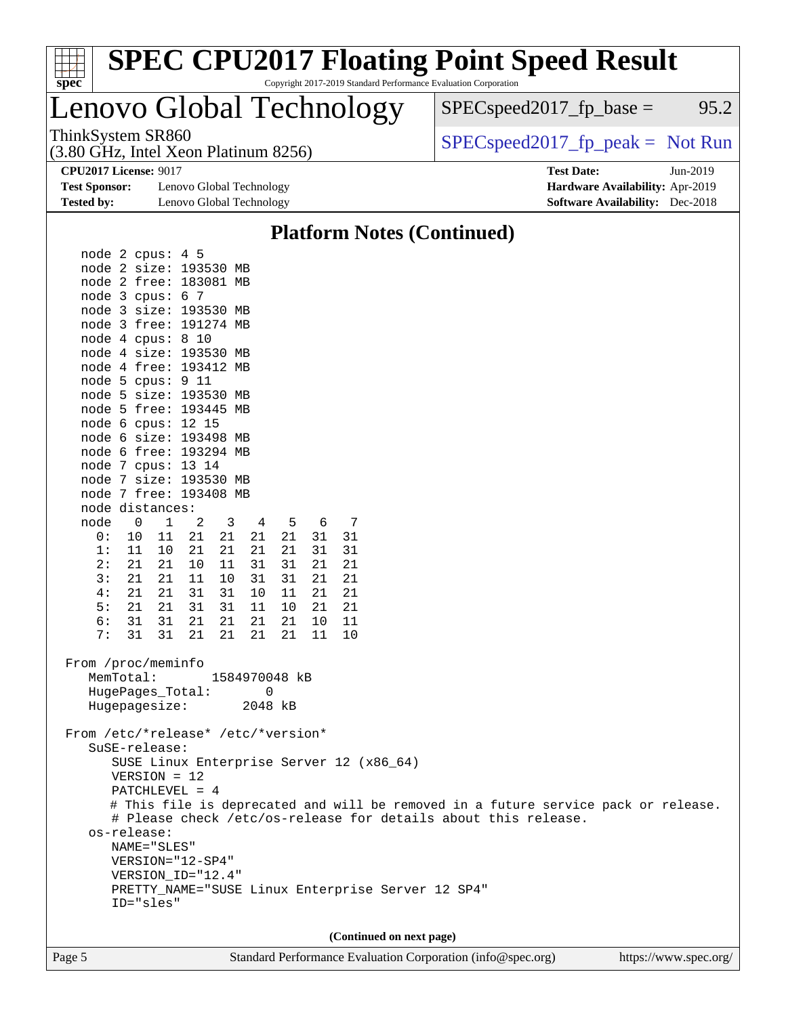| spec |  |  |  |  |  |  |  |
|------|--|--|--|--|--|--|--|

# **[SPEC CPU2017 Floating Point Speed Result](http://www.spec.org/auto/cpu2017/Docs/result-fields.html#SPECCPU2017FloatingPointSpeedResult)**

Copyright 2017-2019 Standard Performance Evaluation Corporation

# Lenovo Global Technology

(3.80 GHz, Intel Xeon Platinum 8256)

ThinkSystem SR860<br>  $(3.80 \text{ GHz, Intel Yoon Plitium } 8256)$  [SPECspeed2017\\_fp\\_peak =](http://www.spec.org/auto/cpu2017/Docs/result-fields.html#SPECspeed2017fppeak) Not Run

 $SPEC speed2017_fp\_base = 95.2$ 

**[CPU2017 License:](http://www.spec.org/auto/cpu2017/Docs/result-fields.html#CPU2017License)** 9017 **[Test Date:](http://www.spec.org/auto/cpu2017/Docs/result-fields.html#TestDate)** Jun-2019

**[Test Sponsor:](http://www.spec.org/auto/cpu2017/Docs/result-fields.html#TestSponsor)** Lenovo Global Technology **[Hardware Availability:](http://www.spec.org/auto/cpu2017/Docs/result-fields.html#HardwareAvailability)** Apr-2019 **[Tested by:](http://www.spec.org/auto/cpu2017/Docs/result-fields.html#Testedby)** Lenovo Global Technology **[Software Availability:](http://www.spec.org/auto/cpu2017/Docs/result-fields.html#SoftwareAvailability)** Dec-2018

# **[Platform Notes \(Continued\)](http://www.spec.org/auto/cpu2017/Docs/result-fields.html#PlatformNotes)**

| node 2 cpus: 4 5                         |                   |               |                      |          |          |                                                   |                                                                  |  |
|------------------------------------------|-------------------|---------------|----------------------|----------|----------|---------------------------------------------------|------------------------------------------------------------------|--|
| node 2 size: 193530 MB                   |                   |               |                      |          |          |                                                   |                                                                  |  |
| node 2 free: 183081 MB                   |                   |               |                      |          |          |                                                   |                                                                  |  |
| node 3 cpus: 6 7                         |                   |               |                      |          |          |                                                   |                                                                  |  |
| node 3 size: 193530 MB                   |                   |               |                      |          |          |                                                   |                                                                  |  |
| node 3 free: 191274 MB                   |                   |               |                      |          |          |                                                   |                                                                  |  |
| node 4 cpus: 8 10                        |                   |               |                      |          |          |                                                   |                                                                  |  |
| node 4 size: 193530 MB                   |                   |               |                      |          |          |                                                   |                                                                  |  |
| node 4 free: 193412 MB                   |                   |               |                      |          |          |                                                   |                                                                  |  |
| node 5 cpus: 9 11                        |                   |               |                      |          |          |                                                   |                                                                  |  |
| node 5 size: 193530 MB                   |                   |               |                      |          |          |                                                   |                                                                  |  |
| node 5 free: 193445 MB                   |                   |               |                      |          |          |                                                   |                                                                  |  |
| node 6 cpus: 12 15                       |                   |               |                      |          |          |                                                   |                                                                  |  |
| node 6 size: 193498 MB                   |                   |               |                      |          |          |                                                   |                                                                  |  |
| node 6 free: 193294 MB                   |                   |               |                      |          |          |                                                   |                                                                  |  |
| node 7 cpus: 13 14                       |                   |               |                      |          |          |                                                   |                                                                  |  |
| node 7 size: 193530 MB                   |                   |               |                      |          |          |                                                   |                                                                  |  |
| node 7 free: 193408 MB                   |                   |               |                      |          |          |                                                   |                                                                  |  |
| node distances:                          |                   |               |                      |          |          |                                                   |                                                                  |  |
| node<br>$\overline{0}$                   | 2<br>$\mathbf{1}$ | 3             | 5<br>4               | - 6      | 7        |                                                   |                                                                  |  |
| 11<br>0:<br>10                           | 21                | 21            | 21<br>21             | 31       | 31       |                                                   |                                                                  |  |
| 1:<br>11<br>10                           | 21                | 21            | 21<br>21             | 31       | 31       |                                                   |                                                                  |  |
| 2:<br>21<br>21                           | 10                | 11<br>31      | 31                   | 21       | 21       |                                                   |                                                                  |  |
| 3:<br>21<br>21                           | 11                | 10<br>31      | 31                   | 21       | 21       |                                                   |                                                                  |  |
| 4 :<br>21<br>21                          | 31                | 31<br>10      | 11                   | 21       | 21       |                                                   |                                                                  |  |
| 5:<br>21<br>21                           | 31                | 31<br>11      | 10                   | 21       | 21<br>11 |                                                   |                                                                  |  |
| 6:<br>31<br>31<br>7:<br>31<br>31         | 21<br>21          | 21<br>21      | 21<br>21<br>21<br>21 | 10<br>11 | 10       |                                                   |                                                                  |  |
|                                          |                   |               |                      |          |          |                                                   |                                                                  |  |
| From /proc/meminfo                       |                   |               |                      |          |          |                                                   |                                                                  |  |
| MemTotal:                                |                   | 1584970048 kB |                      |          |          |                                                   |                                                                  |  |
| HugePages Total:                         |                   |               | 0                    |          |          |                                                   |                                                                  |  |
| Hugepagesize:                            |                   |               | 2048 kB              |          |          |                                                   |                                                                  |  |
|                                          |                   |               |                      |          |          |                                                   |                                                                  |  |
| From /etc/*release* /etc/*version*       |                   |               |                      |          |          |                                                   |                                                                  |  |
| SuSE-release:                            |                   |               |                      |          |          |                                                   |                                                                  |  |
| SUSE Linux Enterprise Server 12 (x86_64) |                   |               |                      |          |          |                                                   |                                                                  |  |
| $VERSION = 12$                           |                   |               |                      |          |          |                                                   |                                                                  |  |
| PATCHLEVEL = 4                           |                   |               |                      |          |          |                                                   |                                                                  |  |
|                                          |                   |               |                      |          |          |                                                   | # This file is deprecated and will be removed in a future servic |  |
|                                          |                   |               |                      |          |          |                                                   | # Please check /etc/os-release for details about this release.   |  |
| os-release:                              |                   |               |                      |          |          |                                                   |                                                                  |  |
| NAME="SLES"                              |                   |               |                      |          |          |                                                   |                                                                  |  |
| VERSION="12-SP4"                         |                   |               |                      |          |          |                                                   |                                                                  |  |
| VERSION_ID="12.4"                        |                   |               |                      |          |          |                                                   |                                                                  |  |
|                                          |                   |               |                      |          |          | PRETTY NAME="SUSE Linux Enterprise Server 12 SP4" |                                                                  |  |
| ID="sles"                                |                   |               |                      |          |          |                                                   |                                                                  |  |
|                                          |                   |               |                      |          |          |                                                   |                                                                  |  |

**(Continued on next page)**

service pack or release.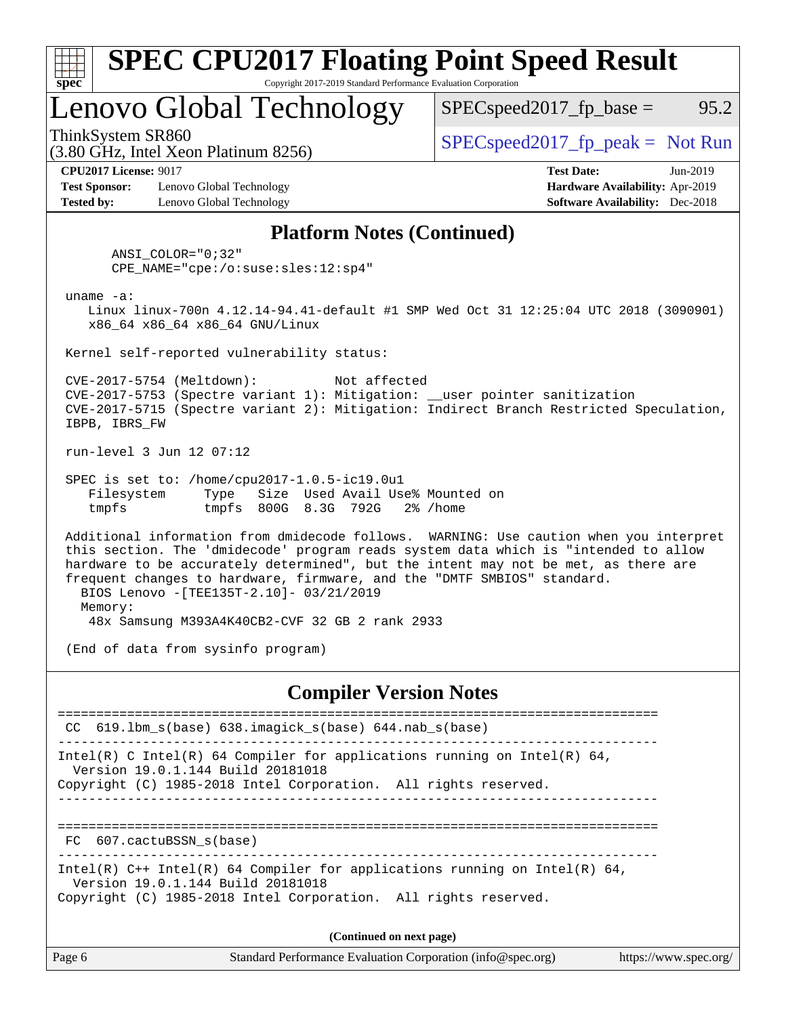| s:<br>E<br>L |  |  |  |  |  |  |
|--------------|--|--|--|--|--|--|

# Lenovo Global Technology

ThinkSystem SR860<br>  $SPECspeed2017<sub>fp</sub> peak = Not Run$ <br>  $SPECspeed2017<sub>fp</sub> peak = Not Run$ 

 $SPEC speed2017_fp\_base = 95.2$ 

**[Test Sponsor:](http://www.spec.org/auto/cpu2017/Docs/result-fields.html#TestSponsor)** Lenovo Global Technology **[Hardware Availability:](http://www.spec.org/auto/cpu2017/Docs/result-fields.html#HardwareAvailability)** Apr-2019 **[Tested by:](http://www.spec.org/auto/cpu2017/Docs/result-fields.html#Testedby)** Lenovo Global Technology **[Software Availability:](http://www.spec.org/auto/cpu2017/Docs/result-fields.html#SoftwareAvailability)** Dec-2018

(3.80 GHz, Intel Xeon Platinum 8256)

**[CPU2017 License:](http://www.spec.org/auto/cpu2017/Docs/result-fields.html#CPU2017License)** 9017 **[Test Date:](http://www.spec.org/auto/cpu2017/Docs/result-fields.html#TestDate)** Jun-2019

### **[Platform Notes \(Continued\)](http://www.spec.org/auto/cpu2017/Docs/result-fields.html#PlatformNotes)**

 ANSI\_COLOR="0;32" CPE\_NAME="cpe:/o:suse:sles:12:sp4"

uname -a:

 Linux linux-700n 4.12.14-94.41-default #1 SMP Wed Oct 31 12:25:04 UTC 2018 (3090901) x86\_64 x86\_64 x86\_64 GNU/Linux

Kernel self-reported vulnerability status:

 CVE-2017-5754 (Meltdown): Not affected CVE-2017-5753 (Spectre variant 1): Mitigation: \_\_user pointer sanitization CVE-2017-5715 (Spectre variant 2): Mitigation: Indirect Branch Restricted Speculation, IBPB, IBRS\_FW

run-level 3 Jun 12 07:12

 SPEC is set to: /home/cpu2017-1.0.5-ic19.0u1 Filesystem Type Size Used Avail Use% Mounted on tmpfs tmpfs 800G 8.3G 792G 2% /home

 Additional information from dmidecode follows. WARNING: Use caution when you interpret this section. The 'dmidecode' program reads system data which is "intended to allow hardware to be accurately determined", but the intent may not be met, as there are frequent changes to hardware, firmware, and the "DMTF SMBIOS" standard. BIOS Lenovo -[TEE135T-2.10]- 03/21/2019 Memory: 48x Samsung M393A4K40CB2-CVF 32 GB 2 rank 2933

(End of data from sysinfo program)

### **[Compiler Version Notes](http://www.spec.org/auto/cpu2017/Docs/result-fields.html#CompilerVersionNotes)**

============================================================================== CC 619.lbm\_s(base) 638.imagick\_s(base) 644.nab\_s(base) ------------------------------------------------------------------------------ Intel(R) C Intel(R) 64 Compiler for applications running on Intel(R)  $64$ , Version 19.0.1.144 Build 20181018 Copyright (C) 1985-2018 Intel Corporation. All rights reserved. ------------------------------------------------------------------------------ ============================================================================== FC 607.cactuBSSN\_s(base) ------------------------------------------------------------------------------ Intel(R) C++ Intel(R) 64 Compiler for applications running on Intel(R) 64, Version 19.0.1.144 Build 20181018 Copyright (C) 1985-2018 Intel Corporation. All rights reserved. **(Continued on next page)**

| Page 6 | Standard Performance Evaluation Corporation (info@spec.org) | https://www.spec.org/ |
|--------|-------------------------------------------------------------|-----------------------|
|        |                                                             |                       |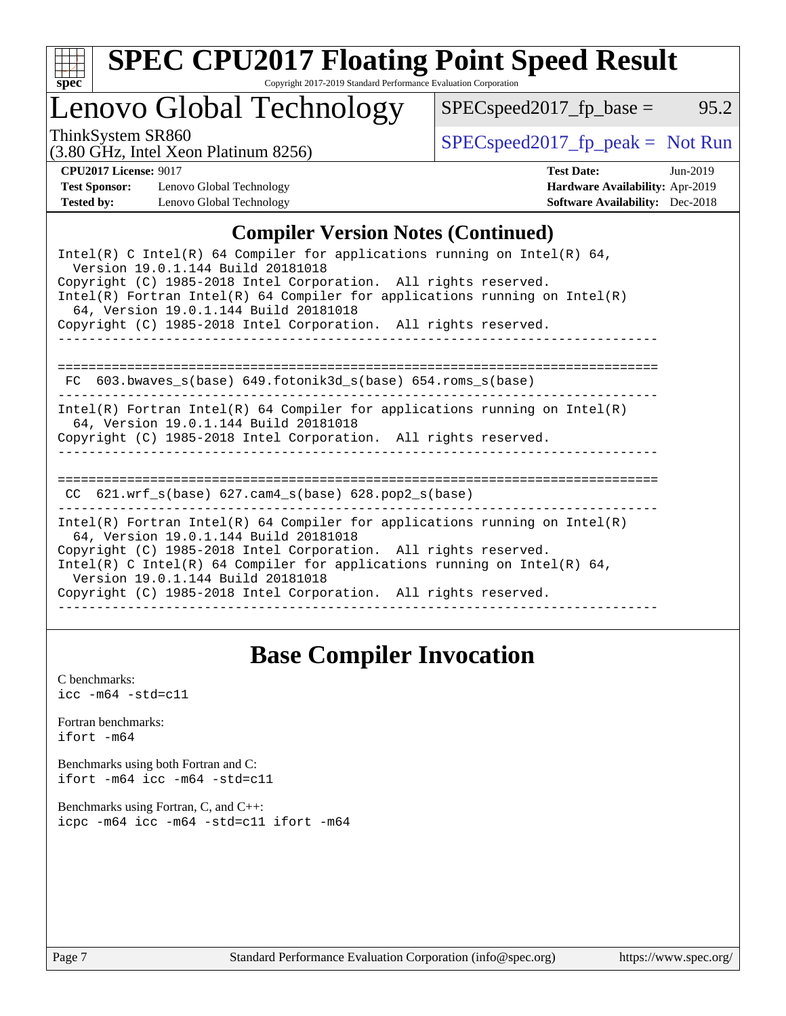

# **[SPEC CPU2017 Floating Point Speed Result](http://www.spec.org/auto/cpu2017/Docs/result-fields.html#SPECCPU2017FloatingPointSpeedResult)**

Copyright 2017-2019 Standard Performance Evaluation Corporation

# Lenovo Global Technology

ThinkSystem SR860<br>  $(3.80 \text{ GHz. Intel Yoon Plotinum } 8256)$  [SPECspeed2017\\_fp\\_peak =](http://www.spec.org/auto/cpu2017/Docs/result-fields.html#SPECspeed2017fppeak) Not Run

 $SPEC speed2017_fp\_base = 95.2$ 

#### (3.80 GHz, Intel Xeon Platinum 8256)

**[CPU2017 License:](http://www.spec.org/auto/cpu2017/Docs/result-fields.html#CPU2017License)** 9017 **[Test Date:](http://www.spec.org/auto/cpu2017/Docs/result-fields.html#TestDate)** Jun-2019 **[Test Sponsor:](http://www.spec.org/auto/cpu2017/Docs/result-fields.html#TestSponsor)** Lenovo Global Technology **[Hardware Availability:](http://www.spec.org/auto/cpu2017/Docs/result-fields.html#HardwareAvailability)** Apr-2019 **[Tested by:](http://www.spec.org/auto/cpu2017/Docs/result-fields.html#Testedby)** Lenovo Global Technology **[Software Availability:](http://www.spec.org/auto/cpu2017/Docs/result-fields.html#SoftwareAvailability)** Dec-2018

## **[Compiler Version Notes \(Continued\)](http://www.spec.org/auto/cpu2017/Docs/result-fields.html#CompilerVersionNotes)**

# **[Base Compiler Invocation](http://www.spec.org/auto/cpu2017/Docs/result-fields.html#BaseCompilerInvocation)**

[C benchmarks](http://www.spec.org/auto/cpu2017/Docs/result-fields.html#Cbenchmarks):  $\text{icc}$  -m64 -std=c11 [Fortran benchmarks](http://www.spec.org/auto/cpu2017/Docs/result-fields.html#Fortranbenchmarks): [ifort -m64](http://www.spec.org/cpu2017/results/res2019q3/cpu2017-20190625-15683.flags.html#user_FCbase_intel_ifort_64bit_24f2bb282fbaeffd6157abe4f878425411749daecae9a33200eee2bee2fe76f3b89351d69a8130dd5949958ce389cf37ff59a95e7a40d588e8d3a57e0c3fd751) [Benchmarks using both Fortran and C](http://www.spec.org/auto/cpu2017/Docs/result-fields.html#BenchmarksusingbothFortranandC): [ifort -m64](http://www.spec.org/cpu2017/results/res2019q3/cpu2017-20190625-15683.flags.html#user_CC_FCbase_intel_ifort_64bit_24f2bb282fbaeffd6157abe4f878425411749daecae9a33200eee2bee2fe76f3b89351d69a8130dd5949958ce389cf37ff59a95e7a40d588e8d3a57e0c3fd751) [icc -m64 -std=c11](http://www.spec.org/cpu2017/results/res2019q3/cpu2017-20190625-15683.flags.html#user_CC_FCbase_intel_icc_64bit_c11_33ee0cdaae7deeeab2a9725423ba97205ce30f63b9926c2519791662299b76a0318f32ddfffdc46587804de3178b4f9328c46fa7c2b0cd779d7a61945c91cd35) [Benchmarks using Fortran, C, and C++:](http://www.spec.org/auto/cpu2017/Docs/result-fields.html#BenchmarksusingFortranCandCXX) [icpc -m64](http://www.spec.org/cpu2017/results/res2019q3/cpu2017-20190625-15683.flags.html#user_CC_CXX_FCbase_intel_icpc_64bit_4ecb2543ae3f1412ef961e0650ca070fec7b7afdcd6ed48761b84423119d1bf6bdf5cad15b44d48e7256388bc77273b966e5eb805aefd121eb22e9299b2ec9d9) [icc -m64 -std=c11](http://www.spec.org/cpu2017/results/res2019q3/cpu2017-20190625-15683.flags.html#user_CC_CXX_FCbase_intel_icc_64bit_c11_33ee0cdaae7deeeab2a9725423ba97205ce30f63b9926c2519791662299b76a0318f32ddfffdc46587804de3178b4f9328c46fa7c2b0cd779d7a61945c91cd35) [ifort -m64](http://www.spec.org/cpu2017/results/res2019q3/cpu2017-20190625-15683.flags.html#user_CC_CXX_FCbase_intel_ifort_64bit_24f2bb282fbaeffd6157abe4f878425411749daecae9a33200eee2bee2fe76f3b89351d69a8130dd5949958ce389cf37ff59a95e7a40d588e8d3a57e0c3fd751)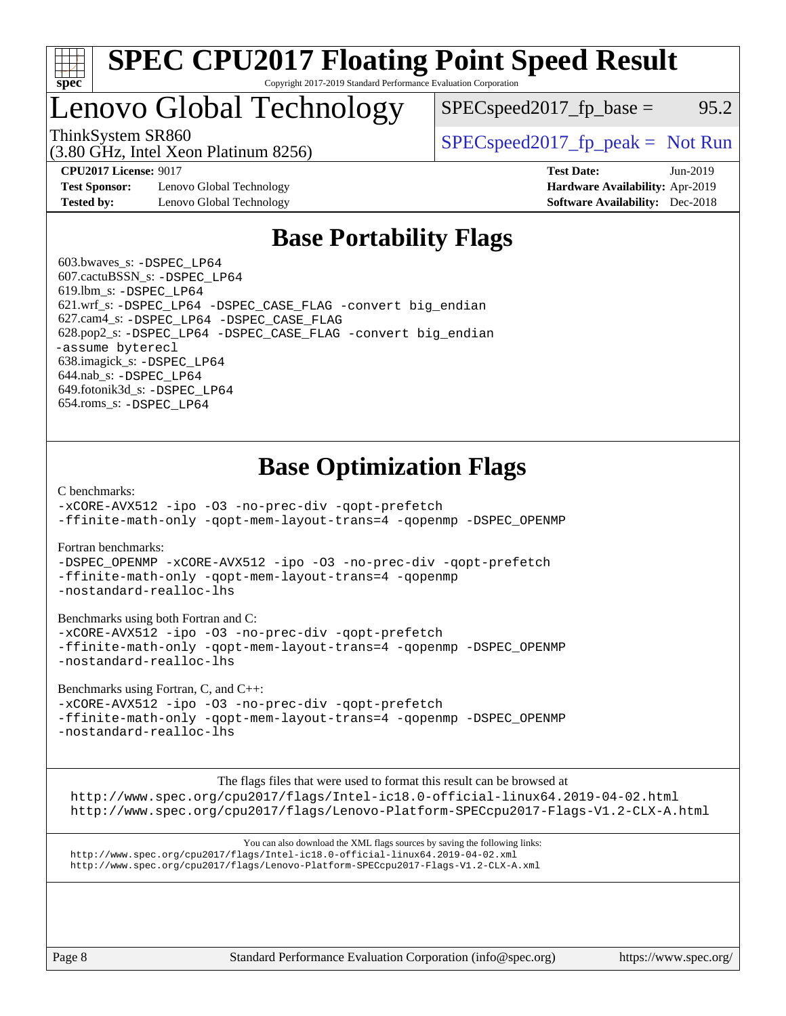

# Lenovo Global Technology

ThinkSystem SR860<br>  $SPEC speed2017<sub>rfp</sub> peak = Not Run$ 

 $SPEC speed2017_fp\_base = 95.2$ 

**[Test Sponsor:](http://www.spec.org/auto/cpu2017/Docs/result-fields.html#TestSponsor)** Lenovo Global Technology **[Hardware Availability:](http://www.spec.org/auto/cpu2017/Docs/result-fields.html#HardwareAvailability)** Apr-2019 **[Tested by:](http://www.spec.org/auto/cpu2017/Docs/result-fields.html#Testedby)** Lenovo Global Technology **[Software Availability:](http://www.spec.org/auto/cpu2017/Docs/result-fields.html#SoftwareAvailability)** Dec-2018

(3.80 GHz, Intel Xeon Platinum 8256)

**[CPU2017 License:](http://www.spec.org/auto/cpu2017/Docs/result-fields.html#CPU2017License)** 9017 **[Test Date:](http://www.spec.org/auto/cpu2017/Docs/result-fields.html#TestDate)** Jun-2019

# **[Base Portability Flags](http://www.spec.org/auto/cpu2017/Docs/result-fields.html#BasePortabilityFlags)**

 603.bwaves\_s: [-DSPEC\\_LP64](http://www.spec.org/cpu2017/results/res2019q3/cpu2017-20190625-15683.flags.html#suite_basePORTABILITY603_bwaves_s_DSPEC_LP64) 607.cactuBSSN\_s: [-DSPEC\\_LP64](http://www.spec.org/cpu2017/results/res2019q3/cpu2017-20190625-15683.flags.html#suite_basePORTABILITY607_cactuBSSN_s_DSPEC_LP64) 619.lbm\_s: [-DSPEC\\_LP64](http://www.spec.org/cpu2017/results/res2019q3/cpu2017-20190625-15683.flags.html#suite_basePORTABILITY619_lbm_s_DSPEC_LP64) 621.wrf\_s: [-DSPEC\\_LP64](http://www.spec.org/cpu2017/results/res2019q3/cpu2017-20190625-15683.flags.html#suite_basePORTABILITY621_wrf_s_DSPEC_LP64) [-DSPEC\\_CASE\\_FLAG](http://www.spec.org/cpu2017/results/res2019q3/cpu2017-20190625-15683.flags.html#b621.wrf_s_baseCPORTABILITY_DSPEC_CASE_FLAG) [-convert big\\_endian](http://www.spec.org/cpu2017/results/res2019q3/cpu2017-20190625-15683.flags.html#user_baseFPORTABILITY621_wrf_s_convert_big_endian_c3194028bc08c63ac5d04de18c48ce6d347e4e562e8892b8bdbdc0214820426deb8554edfa529a3fb25a586e65a3d812c835984020483e7e73212c4d31a38223) 627.cam4\_s: [-DSPEC\\_LP64](http://www.spec.org/cpu2017/results/res2019q3/cpu2017-20190625-15683.flags.html#suite_basePORTABILITY627_cam4_s_DSPEC_LP64) [-DSPEC\\_CASE\\_FLAG](http://www.spec.org/cpu2017/results/res2019q3/cpu2017-20190625-15683.flags.html#b627.cam4_s_baseCPORTABILITY_DSPEC_CASE_FLAG) 628.pop2\_s: [-DSPEC\\_LP64](http://www.spec.org/cpu2017/results/res2019q3/cpu2017-20190625-15683.flags.html#suite_basePORTABILITY628_pop2_s_DSPEC_LP64) [-DSPEC\\_CASE\\_FLAG](http://www.spec.org/cpu2017/results/res2019q3/cpu2017-20190625-15683.flags.html#b628.pop2_s_baseCPORTABILITY_DSPEC_CASE_FLAG) [-convert big\\_endian](http://www.spec.org/cpu2017/results/res2019q3/cpu2017-20190625-15683.flags.html#user_baseFPORTABILITY628_pop2_s_convert_big_endian_c3194028bc08c63ac5d04de18c48ce6d347e4e562e8892b8bdbdc0214820426deb8554edfa529a3fb25a586e65a3d812c835984020483e7e73212c4d31a38223) [-assume byterecl](http://www.spec.org/cpu2017/results/res2019q3/cpu2017-20190625-15683.flags.html#user_baseFPORTABILITY628_pop2_s_assume_byterecl_7e47d18b9513cf18525430bbf0f2177aa9bf368bc7a059c09b2c06a34b53bd3447c950d3f8d6c70e3faf3a05c8557d66a5798b567902e8849adc142926523472) 638.imagick\_s: [-DSPEC\\_LP64](http://www.spec.org/cpu2017/results/res2019q3/cpu2017-20190625-15683.flags.html#suite_basePORTABILITY638_imagick_s_DSPEC_LP64) 644.nab\_s: [-DSPEC\\_LP64](http://www.spec.org/cpu2017/results/res2019q3/cpu2017-20190625-15683.flags.html#suite_basePORTABILITY644_nab_s_DSPEC_LP64) 649.fotonik3d\_s: [-DSPEC\\_LP64](http://www.spec.org/cpu2017/results/res2019q3/cpu2017-20190625-15683.flags.html#suite_basePORTABILITY649_fotonik3d_s_DSPEC_LP64) 654.roms\_s: [-DSPEC\\_LP64](http://www.spec.org/cpu2017/results/res2019q3/cpu2017-20190625-15683.flags.html#suite_basePORTABILITY654_roms_s_DSPEC_LP64)

# **[Base Optimization Flags](http://www.spec.org/auto/cpu2017/Docs/result-fields.html#BaseOptimizationFlags)**

[C benchmarks](http://www.spec.org/auto/cpu2017/Docs/result-fields.html#Cbenchmarks):

[-xCORE-AVX512](http://www.spec.org/cpu2017/results/res2019q3/cpu2017-20190625-15683.flags.html#user_CCbase_f-xCORE-AVX512) [-ipo](http://www.spec.org/cpu2017/results/res2019q3/cpu2017-20190625-15683.flags.html#user_CCbase_f-ipo) [-O3](http://www.spec.org/cpu2017/results/res2019q3/cpu2017-20190625-15683.flags.html#user_CCbase_f-O3) [-no-prec-div](http://www.spec.org/cpu2017/results/res2019q3/cpu2017-20190625-15683.flags.html#user_CCbase_f-no-prec-div) [-qopt-prefetch](http://www.spec.org/cpu2017/results/res2019q3/cpu2017-20190625-15683.flags.html#user_CCbase_f-qopt-prefetch) [-ffinite-math-only](http://www.spec.org/cpu2017/results/res2019q3/cpu2017-20190625-15683.flags.html#user_CCbase_f_finite_math_only_cb91587bd2077682c4b38af759c288ed7c732db004271a9512da14a4f8007909a5f1427ecbf1a0fb78ff2a814402c6114ac565ca162485bbcae155b5e4258871) [-qopt-mem-layout-trans=4](http://www.spec.org/cpu2017/results/res2019q3/cpu2017-20190625-15683.flags.html#user_CCbase_f-qopt-mem-layout-trans_fa39e755916c150a61361b7846f310bcdf6f04e385ef281cadf3647acec3f0ae266d1a1d22d972a7087a248fd4e6ca390a3634700869573d231a252c784941a8) [-qopenmp](http://www.spec.org/cpu2017/results/res2019q3/cpu2017-20190625-15683.flags.html#user_CCbase_qopenmp_16be0c44f24f464004c6784a7acb94aca937f053568ce72f94b139a11c7c168634a55f6653758ddd83bcf7b8463e8028bb0b48b77bcddc6b78d5d95bb1df2967) [-DSPEC\\_OPENMP](http://www.spec.org/cpu2017/results/res2019q3/cpu2017-20190625-15683.flags.html#suite_CCbase_DSPEC_OPENMP)

[Fortran benchmarks](http://www.spec.org/auto/cpu2017/Docs/result-fields.html#Fortranbenchmarks):

[-DSPEC\\_OPENMP](http://www.spec.org/cpu2017/results/res2019q3/cpu2017-20190625-15683.flags.html#suite_FCbase_DSPEC_OPENMP) [-xCORE-AVX512](http://www.spec.org/cpu2017/results/res2019q3/cpu2017-20190625-15683.flags.html#user_FCbase_f-xCORE-AVX512) [-ipo](http://www.spec.org/cpu2017/results/res2019q3/cpu2017-20190625-15683.flags.html#user_FCbase_f-ipo) [-O3](http://www.spec.org/cpu2017/results/res2019q3/cpu2017-20190625-15683.flags.html#user_FCbase_f-O3) [-no-prec-div](http://www.spec.org/cpu2017/results/res2019q3/cpu2017-20190625-15683.flags.html#user_FCbase_f-no-prec-div) [-qopt-prefetch](http://www.spec.org/cpu2017/results/res2019q3/cpu2017-20190625-15683.flags.html#user_FCbase_f-qopt-prefetch) [-ffinite-math-only](http://www.spec.org/cpu2017/results/res2019q3/cpu2017-20190625-15683.flags.html#user_FCbase_f_finite_math_only_cb91587bd2077682c4b38af759c288ed7c732db004271a9512da14a4f8007909a5f1427ecbf1a0fb78ff2a814402c6114ac565ca162485bbcae155b5e4258871) [-qopt-mem-layout-trans=4](http://www.spec.org/cpu2017/results/res2019q3/cpu2017-20190625-15683.flags.html#user_FCbase_f-qopt-mem-layout-trans_fa39e755916c150a61361b7846f310bcdf6f04e385ef281cadf3647acec3f0ae266d1a1d22d972a7087a248fd4e6ca390a3634700869573d231a252c784941a8) [-qopenmp](http://www.spec.org/cpu2017/results/res2019q3/cpu2017-20190625-15683.flags.html#user_FCbase_qopenmp_16be0c44f24f464004c6784a7acb94aca937f053568ce72f94b139a11c7c168634a55f6653758ddd83bcf7b8463e8028bb0b48b77bcddc6b78d5d95bb1df2967) [-nostandard-realloc-lhs](http://www.spec.org/cpu2017/results/res2019q3/cpu2017-20190625-15683.flags.html#user_FCbase_f_2003_std_realloc_82b4557e90729c0f113870c07e44d33d6f5a304b4f63d4c15d2d0f1fab99f5daaed73bdb9275d9ae411527f28b936061aa8b9c8f2d63842963b95c9dd6426b8a)

[Benchmarks using both Fortran and C](http://www.spec.org/auto/cpu2017/Docs/result-fields.html#BenchmarksusingbothFortranandC):

[-xCORE-AVX512](http://www.spec.org/cpu2017/results/res2019q3/cpu2017-20190625-15683.flags.html#user_CC_FCbase_f-xCORE-AVX512) [-ipo](http://www.spec.org/cpu2017/results/res2019q3/cpu2017-20190625-15683.flags.html#user_CC_FCbase_f-ipo) [-O3](http://www.spec.org/cpu2017/results/res2019q3/cpu2017-20190625-15683.flags.html#user_CC_FCbase_f-O3) [-no-prec-div](http://www.spec.org/cpu2017/results/res2019q3/cpu2017-20190625-15683.flags.html#user_CC_FCbase_f-no-prec-div) [-qopt-prefetch](http://www.spec.org/cpu2017/results/res2019q3/cpu2017-20190625-15683.flags.html#user_CC_FCbase_f-qopt-prefetch) [-ffinite-math-only](http://www.spec.org/cpu2017/results/res2019q3/cpu2017-20190625-15683.flags.html#user_CC_FCbase_f_finite_math_only_cb91587bd2077682c4b38af759c288ed7c732db004271a9512da14a4f8007909a5f1427ecbf1a0fb78ff2a814402c6114ac565ca162485bbcae155b5e4258871) [-qopt-mem-layout-trans=4](http://www.spec.org/cpu2017/results/res2019q3/cpu2017-20190625-15683.flags.html#user_CC_FCbase_f-qopt-mem-layout-trans_fa39e755916c150a61361b7846f310bcdf6f04e385ef281cadf3647acec3f0ae266d1a1d22d972a7087a248fd4e6ca390a3634700869573d231a252c784941a8) [-qopenmp](http://www.spec.org/cpu2017/results/res2019q3/cpu2017-20190625-15683.flags.html#user_CC_FCbase_qopenmp_16be0c44f24f464004c6784a7acb94aca937f053568ce72f94b139a11c7c168634a55f6653758ddd83bcf7b8463e8028bb0b48b77bcddc6b78d5d95bb1df2967) [-DSPEC\\_OPENMP](http://www.spec.org/cpu2017/results/res2019q3/cpu2017-20190625-15683.flags.html#suite_CC_FCbase_DSPEC_OPENMP) [-nostandard-realloc-lhs](http://www.spec.org/cpu2017/results/res2019q3/cpu2017-20190625-15683.flags.html#user_CC_FCbase_f_2003_std_realloc_82b4557e90729c0f113870c07e44d33d6f5a304b4f63d4c15d2d0f1fab99f5daaed73bdb9275d9ae411527f28b936061aa8b9c8f2d63842963b95c9dd6426b8a)

[Benchmarks using Fortran, C, and C++:](http://www.spec.org/auto/cpu2017/Docs/result-fields.html#BenchmarksusingFortranCandCXX)

[-xCORE-AVX512](http://www.spec.org/cpu2017/results/res2019q3/cpu2017-20190625-15683.flags.html#user_CC_CXX_FCbase_f-xCORE-AVX512) [-ipo](http://www.spec.org/cpu2017/results/res2019q3/cpu2017-20190625-15683.flags.html#user_CC_CXX_FCbase_f-ipo) [-O3](http://www.spec.org/cpu2017/results/res2019q3/cpu2017-20190625-15683.flags.html#user_CC_CXX_FCbase_f-O3) [-no-prec-div](http://www.spec.org/cpu2017/results/res2019q3/cpu2017-20190625-15683.flags.html#user_CC_CXX_FCbase_f-no-prec-div) [-qopt-prefetch](http://www.spec.org/cpu2017/results/res2019q3/cpu2017-20190625-15683.flags.html#user_CC_CXX_FCbase_f-qopt-prefetch) [-ffinite-math-only](http://www.spec.org/cpu2017/results/res2019q3/cpu2017-20190625-15683.flags.html#user_CC_CXX_FCbase_f_finite_math_only_cb91587bd2077682c4b38af759c288ed7c732db004271a9512da14a4f8007909a5f1427ecbf1a0fb78ff2a814402c6114ac565ca162485bbcae155b5e4258871) [-qopt-mem-layout-trans=4](http://www.spec.org/cpu2017/results/res2019q3/cpu2017-20190625-15683.flags.html#user_CC_CXX_FCbase_f-qopt-mem-layout-trans_fa39e755916c150a61361b7846f310bcdf6f04e385ef281cadf3647acec3f0ae266d1a1d22d972a7087a248fd4e6ca390a3634700869573d231a252c784941a8) [-qopenmp](http://www.spec.org/cpu2017/results/res2019q3/cpu2017-20190625-15683.flags.html#user_CC_CXX_FCbase_qopenmp_16be0c44f24f464004c6784a7acb94aca937f053568ce72f94b139a11c7c168634a55f6653758ddd83bcf7b8463e8028bb0b48b77bcddc6b78d5d95bb1df2967) [-DSPEC\\_OPENMP](http://www.spec.org/cpu2017/results/res2019q3/cpu2017-20190625-15683.flags.html#suite_CC_CXX_FCbase_DSPEC_OPENMP) [-nostandard-realloc-lhs](http://www.spec.org/cpu2017/results/res2019q3/cpu2017-20190625-15683.flags.html#user_CC_CXX_FCbase_f_2003_std_realloc_82b4557e90729c0f113870c07e44d33d6f5a304b4f63d4c15d2d0f1fab99f5daaed73bdb9275d9ae411527f28b936061aa8b9c8f2d63842963b95c9dd6426b8a)

The flags files that were used to format this result can be browsed at

<http://www.spec.org/cpu2017/flags/Intel-ic18.0-official-linux64.2019-04-02.html> <http://www.spec.org/cpu2017/flags/Lenovo-Platform-SPECcpu2017-Flags-V1.2-CLX-A.html>

You can also download the XML flags sources by saving the following links: <http://www.spec.org/cpu2017/flags/Intel-ic18.0-official-linux64.2019-04-02.xml> <http://www.spec.org/cpu2017/flags/Lenovo-Platform-SPECcpu2017-Flags-V1.2-CLX-A.xml>